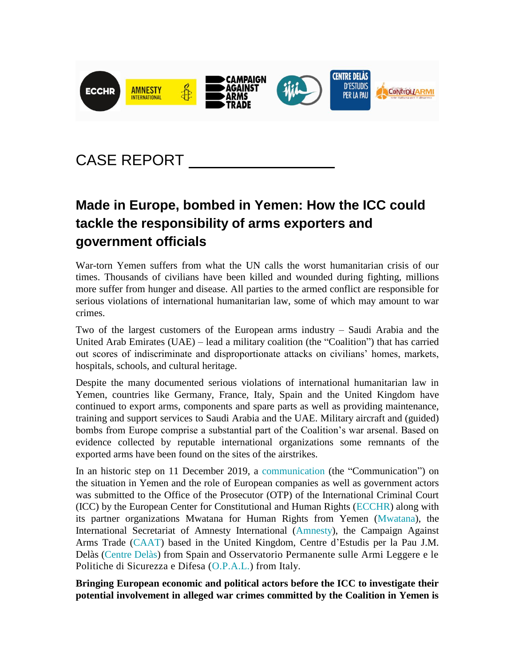

# CASE REPORT

# **Made in Europe, bombed in Yemen: How the ICC could tackle the responsibility of arms exporters and government officials**

War-torn Yemen suffers from what the UN calls the worst humanitarian crisis of our times. Thousands of civilians have been killed and wounded during fighting, millions more suffer from hunger and disease. All parties to the armed conflict are responsible for serious violations of international humanitarian law, some of which may amount to war crimes.

Two of the largest customers of the European arms industry – Saudi Arabia and the United Arab Emirates (UAE) – lead a military coalition (the "Coalition") that has carried out scores of indiscriminate and disproportionate attacks on civilians' homes, markets, hospitals, schools, and cultural heritage.

Despite the many documented serious violations of international humanitarian law in Yemen, countries like Germany, France, Italy, Spain and the United Kingdom have continued to export arms, components and spare parts as well as providing maintenance, training and support services to Saudi Arabia and the UAE. Military aircraft and (guided) bombs from Europe comprise a substantial part of the Coalition's war arsenal. Based on evidence collected by reputable international organizations some remnants of the exported arms have been found on the sites of the airstrikes.

In an historic step on 11 December 2019, a [communication](https://www.ecchr.eu/icc-yemen) (the "Communication") on the situation in Yemen and the role of European companies as well as government actors was submitted to the Office of the Prosecutor (OTP) of the International Criminal Court (ICC) by the European Center for Constitutional and Human Rights [\(ECCHR\)](https://www.ecchr.eu/en) along with its partner organizations Mwatana for Human Rights from Yemen [\(Mwatana\)](https://mwatana.org/en/), the International Secretariat of Amnesty International [\(Amnesty\)](https://www.amnesty.org/en/), the Campaign Against Arms Trade [\(CAAT\)](https://www.caat.org.uk/) based in the United Kingdom, Centre d'Estudis per la Pau J.M. Delàs [\(Centre Delàs\)](http://www.centredelas.org/en/) from Spain and Osservatorio Permanente sulle Armi Leggere e le Politiche di Sicurezza e Difesa [\(O.P.A.L.\)](http://opalbrescia.altervista.org/) from Italy.

**Bringing European economic and political actors before the ICC to investigate their potential involvement in alleged war crimes committed by the Coalition in Yemen is**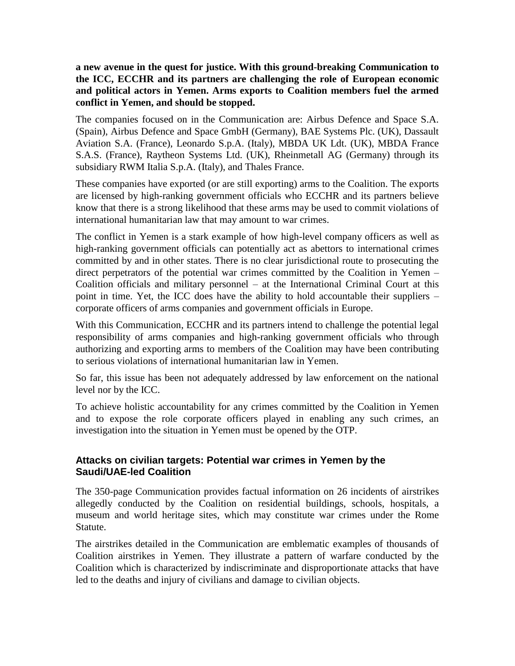#### **a new avenue in the quest for justice. With this ground-breaking Communication to the ICC, ECCHR and its partners are challenging the role of European economic and political actors in Yemen. Arms exports to Coalition members fuel the armed conflict in Yemen, and should be stopped.**

The companies focused on in the Communication are: Airbus Defence and Space S.A. (Spain), Airbus Defence and Space GmbH (Germany), BAE Systems Plc. (UK), Dassault Aviation S.A. (France), Leonardo S.p.A. (Italy), MBDA UK Ldt. (UK), MBDA France S.A.S. (France), Raytheon Systems Ltd. (UK), Rheinmetall AG (Germany) through its subsidiary RWM Italia S.p.A. (Italy), and Thales France.

These companies have exported (or are still exporting) arms to the Coalition. The exports are licensed by high-ranking government officials who ECCHR and its partners believe know that there is a strong likelihood that these arms may be used to commit violations of international humanitarian law that may amount to war crimes.

The conflict in Yemen is a stark example of how high-level company officers as well as high-ranking government officials can potentially act as abettors to international crimes committed by and in other states. There is no clear jurisdictional route to prosecuting the direct perpetrators of the potential war crimes committed by the Coalition in Yemen – Coalition officials and military personnel – at the International Criminal Court at this point in time. Yet, the ICC does have the ability to hold accountable their suppliers – corporate officers of arms companies and government officials in Europe.

With this Communication, ECCHR and its partners intend to challenge the potential legal responsibility of arms companies and high-ranking government officials who through authorizing and exporting arms to members of the Coalition may have been contributing to serious violations of international humanitarian law in Yemen.

So far, this issue has been not adequately addressed by law enforcement on the national level nor by the ICC.

To achieve holistic accountability for any crimes committed by the Coalition in Yemen and to expose the role corporate officers played in enabling any such crimes, an investigation into the situation in Yemen must be opened by the OTP.

### **Attacks on civilian targets: Potential war crimes in Yemen by the Saudi/UAE-led Coalition**

The 350-page Communication provides factual information on 26 incidents of airstrikes allegedly conducted by the Coalition on residential buildings, schools, hospitals, a museum and world heritage sites, which may constitute war crimes under the Rome Statute.

The airstrikes detailed in the Communication are emblematic examples of thousands of Coalition airstrikes in Yemen. They illustrate a pattern of warfare conducted by the Coalition which is characterized by indiscriminate and disproportionate attacks that have led to the deaths and injury of civilians and damage to civilian objects.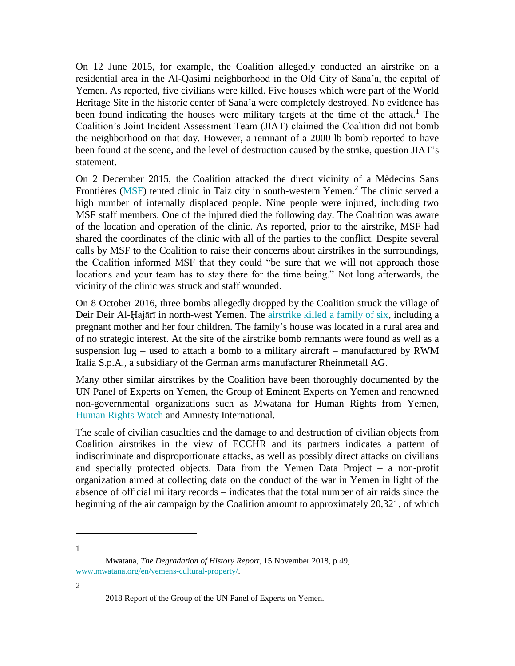On 12 June 2015, for example, the Coalition allegedly conducted an airstrike on a residential area in the Al-Qasimi neighborhood in the Old City of Sana'a, the capital of Yemen. As reported, five civilians were killed. Five houses which were part of the World Heritage Site in the historic center of Sana'a were completely destroyed. No evidence has been found indicating the houses were military targets at the time of the attack.<sup>1</sup> The Coalition's Joint Incident Assessment Team (JIAT) claimed the Coalition did not bomb the neighborhood on that day. However, a remnant of a 2000 lb bomb reported to have been found at the scene, and the level of destruction caused by the strike, question JIAT's statement.

On 2 December 2015, the Coalition attacked the direct vicinity of a Mèdecins Sans Frontières [\(MSF\)](https://www.msf.org/) tented clinic in Taiz city in south-western Yemen.<sup>2</sup> The clinic served a high number of internally displaced people. Nine people were injured, including two MSF staff members. One of the injured died the following day. The Coalition was aware of the location and operation of the clinic. As reported, prior to the airstrike, MSF had shared the coordinates of the clinic with all of the parties to the conflict. Despite several calls by MSF to the Coalition to raise their concerns about airstrikes in the surroundings, the Coalition informed MSF that they could "be sure that we will not approach those locations and your team has to stay there for the time being." Not long afterwards, the vicinity of the clinic was struck and staff wounded.

On 8 October 2016, three bombs allegedly dropped by the Coalition struck the village of Deir Deir Al-Ḩajārī in north-west Yemen. The [airstrike killed a family of six,](https://www.ecchr.eu/en/case/european-responsibility-for-war-crimes-in-yemen/) including a pregnant mother and her four children. The family's house was located in a rural area and of no strategic interest. At the site of the airstrike bomb remnants were found as well as a suspension  $\log$  – used to attach a bomb to a military aircraft – manufactured by RWM Italia S.p.A., a subsidiary of the German arms manufacturer Rheinmetall AG.

Many other similar airstrikes by the Coalition have been thoroughly documented by the UN Panel of Experts on Yemen, the Group of Eminent Experts on Yemen and renowned non-governmental organizations such as Mwatana for Human Rights from Yemen, [Human Rights Watch](https://www.hrw.org/) and Amnesty International.

The scale of civilian casualties and the damage to and destruction of civilian objects from Coalition airstrikes in the view of ECCHR and its partners indicates a pattern of indiscriminate and disproportionate attacks, as well as possibly direct attacks on civilians and specially protected objects. Data from the Yemen Data Project – a non-profit organization aimed at collecting data on the conduct of the war in Yemen in light of the absence of official military records – indicates that the total number of air raids since the beginning of the air campaign by the Coalition amount to approximately 20,321, of which

 $\overline{a}$ 1

2

Mwatana, *The Degradation of History Report*, 15 November 2018, p 49, [www.mwatana.org/en/yemens-cultural-property/.](http://www.mwatana.org/en/yemens-cultural-property/)

<sup>2018</sup> Report of the Group of the UN Panel of Experts on Yemen.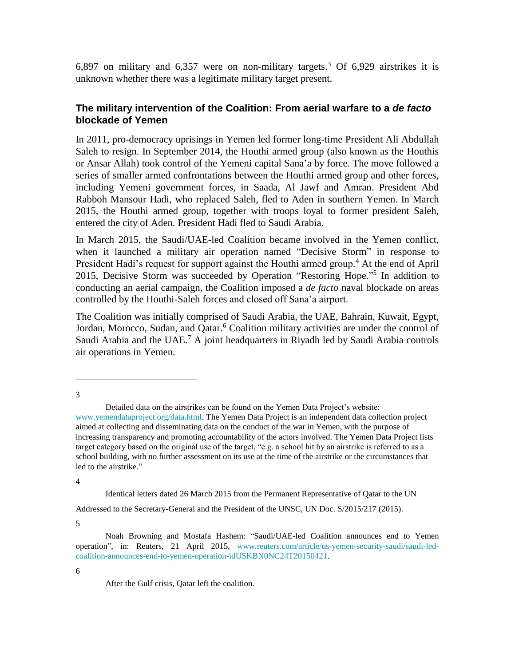6,897 on military and 6,357 were on non-military targets.<sup>3</sup> Of 6,929 airstrikes it is unknown whether there was a legitimate military target present.

#### **The military intervention of the Coalition: From aerial warfare to a** *de facto* **blockade of Yemen**

In 2011, pro-democracy uprisings in Yemen led former long-time President Ali Abdullah Saleh to resign. In September 2014, the Houthi armed group (also known as the Houthis or Ansar Allah) took control of the Yemeni capital Sana'a by force. The move followed a series of smaller armed confrontations between the Houthi armed group and other forces, including Yemeni government forces, in Saada, Al Jawf and Amran. President Abd Rabboh Mansour Hadi, who replaced Saleh, fled to Aden in southern Yemen. In March 2015, the Houthi armed group, together with troops loyal to former president Saleh, entered the city of Aden. President Hadi fled to Saudi Arabia.

In March 2015, the Saudi/UAE-led Coalition became involved in the Yemen conflict, when it launched a military air operation named "Decisive Storm" in response to President Hadi's request for support against the Houthi armed group.<sup>4</sup> At the end of April 2015, Decisive Storm was succeeded by Operation "Restoring Hope."<sup>5</sup> In addition to conducting an aerial campaign, the Coalition imposed a *de facto* naval blockade on areas controlled by the Houthi-Saleh forces and closed off Sana'a airport.

The Coalition was initially comprised of Saudi Arabia, the UAE, Bahrain, Kuwait, Egypt, Jordan, Morocco, Sudan, and Qatar.<sup>6</sup> Coalition military activities are under the control of Saudi Arabia and the UAE.<sup>7</sup> A joint headquarters in Riyadh led by Saudi Arabia controls air operations in Yemen.

 $\overline{a}$ 3

4

Identical letters dated 26 March 2015 from the Permanent Representative of Qatar to the UN Addressed to the Secretary-General and the President of the UNSC, UN Doc. S/2015/217 (2015).

5

6

Detailed data on the airstrikes can be found on the Yemen Data Project's website: [www.yemendataproject.org/data.html.](http://www.yemendataproject.org/data.html) The Yemen Data Project is an independent data collection project aimed at collecting and disseminating data on the conduct of the war in Yemen, with the purpose of increasing transparency and promoting accountability of the actors involved. The Yemen Data Project lists target category based on the original use of the target, "e.g. a school hit by an airstrike is referred to as a school building, with no further assessment on its use at the time of the airstrike or the circumstances that led to the airstrike."

Noah Browning and Mostafa Hashem: "Saudi/UAE-led Coalition announces end to Yemen operation", in: Reuters, 21 April 2015, [www.reuters.com/article/us-yemen-security-saudi/saudi-led](http://www.reuters.com/article/us-yemen-security-saudi/saudi-led-coalition-announces-end-to-yemen-operation-idUSKBN0NC24T20150421)[coalition-announces-end-to-yemen-operation-idUSKBN0NC24T20150421.](http://www.reuters.com/article/us-yemen-security-saudi/saudi-led-coalition-announces-end-to-yemen-operation-idUSKBN0NC24T20150421)

After the Gulf crisis, Qatar left the coalition.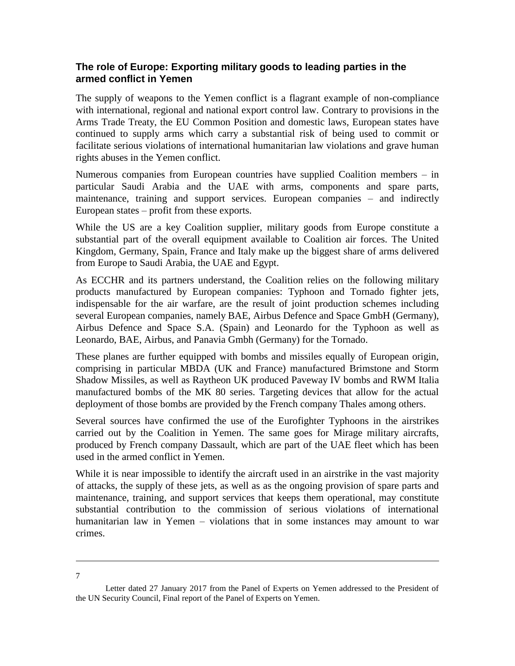### **The role of Europe: Exporting military goods to leading parties in the armed conflict in Yemen**

The supply of weapons to the Yemen conflict is a flagrant example of non-compliance with international, regional and national export control law. Contrary to provisions in the Arms Trade Treaty, the EU Common Position and domestic laws, European states have continued to supply arms which carry a substantial risk of being used to commit or facilitate serious violations of international humanitarian law violations and grave human rights abuses in the Yemen conflict.

Numerous companies from European countries have supplied Coalition members – in particular Saudi Arabia and the UAE with arms, components and spare parts, maintenance, training and support services. European companies – and indirectly European states – profit from these exports.

While the US are a key Coalition supplier, military goods from Europe constitute a substantial part of the overall equipment available to Coalition air forces. The United Kingdom, Germany, Spain, France and Italy make up the biggest share of arms delivered from Europe to Saudi Arabia, the UAE and Egypt.

As ECCHR and its partners understand, the Coalition relies on the following military products manufactured by European companies: Typhoon and Tornado fighter jets, indispensable for the air warfare, are the result of joint production schemes including several European companies, namely BAE, Airbus Defence and Space GmbH (Germany), Airbus Defence and Space S.A. (Spain) and Leonardo for the Typhoon as well as Leonardo, BAE, Airbus, and Panavia Gmbh (Germany) for the Tornado.

These planes are further equipped with bombs and missiles equally of European origin, comprising in particular MBDA (UK and France) manufactured Brimstone and Storm Shadow Missiles, as well as Raytheon UK produced Paveway IV bombs and RWM Italia manufactured bombs of the MK 80 series. Targeting devices that allow for the actual deployment of those bombs are provided by the French company Thales among others.

Several sources have confirmed the use of the Eurofighter Typhoons in the airstrikes carried out by the Coalition in Yemen. The same goes for Mirage military aircrafts, produced by French company Dassault, which are part of the UAE fleet which has been used in the armed conflict in Yemen.

While it is near impossible to identify the aircraft used in an airstrike in the vast majority of attacks, the supply of these jets, as well as as the ongoing provision of spare parts and maintenance, training, and support services that keeps them operational, may constitute substantial contribution to the commission of serious violations of international humanitarian law in Yemen – violations that in some instances may amount to war crimes.

 $\overline{a}$ 7

Letter dated 27 January 2017 from the Panel of Experts on Yemen addressed to the President of the UN Security Council, Final report of the Panel of Experts on Yemen.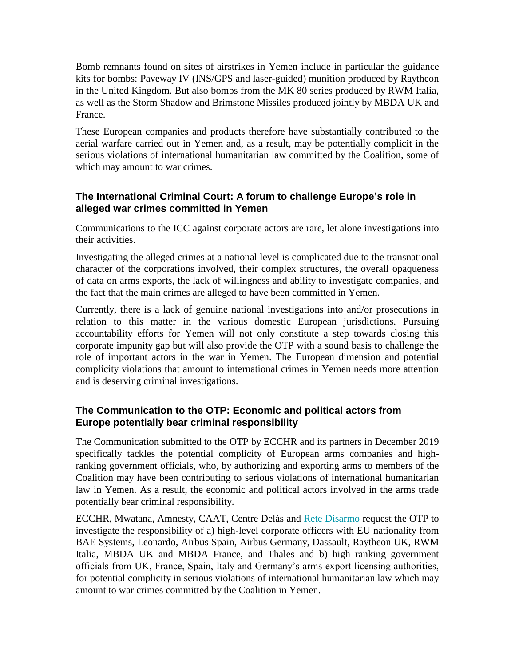Bomb remnants found on sites of airstrikes in Yemen include in particular the guidance kits for bombs: Paveway IV (INS/GPS and laser-guided) munition produced by Raytheon in the United Kingdom. But also bombs from the MK 80 series produced by RWM Italia, as well as the Storm Shadow and Brimstone Missiles produced jointly by MBDA UK and France.

These European companies and products therefore have substantially contributed to the aerial warfare carried out in Yemen and, as a result, may be potentially complicit in the serious violations of international humanitarian law committed by the Coalition, some of which may amount to war crimes.

## **The International Criminal Court: A forum to challenge Europe's role in alleged war crimes committed in Yemen**

Communications to the ICC against corporate actors are rare, let alone investigations into their activities.

Investigating the alleged crimes at a national level is complicated due to the transnational character of the corporations involved, their complex structures, the overall opaqueness of data on arms exports, the lack of willingness and ability to investigate companies, and the fact that the main crimes are alleged to have been committed in Yemen.

Currently, there is a lack of genuine national investigations into and/or prosecutions in relation to this matter in the various domestic European jurisdictions. Pursuing accountability efforts for Yemen will not only constitute a step towards closing this corporate impunity gap but will also provide the OTP with a sound basis to challenge the role of important actors in the war in Yemen. The European dimension and potential complicity violations that amount to international crimes in Yemen needs more attention and is deserving criminal investigations.

# **The Communication to the OTP: Economic and political actors from Europe potentially bear criminal responsibility**

The Communication submitted to the OTP by ECCHR and its partners in December 2019 specifically tackles the potential complicity of European arms companies and highranking government officials, who, by authorizing and exporting arms to members of the Coalition may have been contributing to serious violations of international humanitarian law in Yemen. As a result, the economic and political actors involved in the arms trade potentially bear criminal responsibility.

ECCHR, Mwatana, Amnesty, CAAT, Centre Delàs and [Rete Disarmo](https://www.disarmo.org/) request the OTP to investigate the responsibility of a) high-level corporate officers with EU nationality from BAE Systems, Leonardo, Airbus Spain, Airbus Germany, Dassault, Raytheon UK, RWM Italia, MBDA UK and MBDA France, and Thales and b) high ranking government officials from UK, France, Spain, Italy and Germany's arms export licensing authorities, for potential complicity in serious violations of international humanitarian law which may amount to war crimes committed by the Coalition in Yemen.